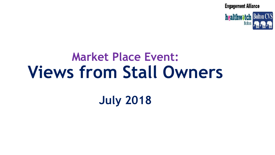**healthwatch Bolton CVS Bolton** 

# **Market Place Event: Views from Stall Owners**

**July 2018**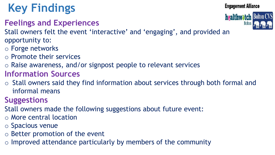## **Key Findings**

**Feelings and Experiences**



- Stall owners felt the event 'interactive' and 'engaging', and provided an opportunity to:
- o Forge networks
- o Promote their services
- o Raise awareness, and/or signpost people to relevant services
- **Information Sources**
- o Stall owners said they find information about services through both formal and informal means
- **Suggestions**
- Stall owners made the following suggestions about future event:
- o More central location
- o Spacious venue
- o Better promotion of the event
- o Improved attendance particularly by members of the community

**Engagement Alliance** 

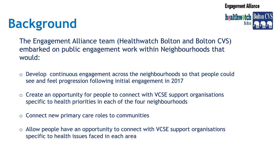## **Background**



The Engagement Alliance team (Healthwatch Bolton and Bolton CVS) embarked on public engagement work within Neighbourhoods that would:

- o Develop continuous engagement across the neighbourhoods so that people could see and feel progression following initial engagement in 2017
- o Create an opportunity for people to connect with VCSE support organisations specific to health priorities in each of the four neighbourhoods
- $\circ$  Connect new primary care roles to communities
- $\circ$  Allow people have an opportunity to connect with VCSE support organisations specific to health issues faced in each area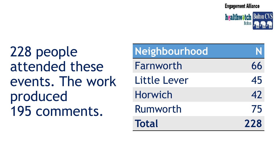**healthwatch Bolton CVS** 

228 people attended these events. The work produced 195 comments.

| Neighbourhood  |     |
|----------------|-----|
| Farnworth      | 66  |
| Little Lever   | 45  |
| <b>Horwich</b> | 42  |
| Rumworth       | 75  |
| <b>Total</b>   | 228 |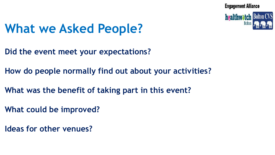**healthwatch Bolton CVS** 

## **What we Asked People?**

- **Did the event meet your expectations?**
- **How do people normally find out about your activities?**
- **What was the benefit of taking part in this event?**
- **What could be improved?**
- **Ideas for other venues?**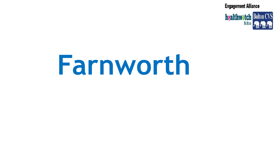

# **Farnworth**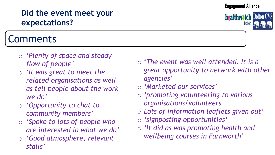#### **Did the event meet your expectations?**

## Comments

- o '*Plenty of space and steady flow of people'*
- o *'It was great to meet the related organisations as well as tell people about the work we do'*
- o *'Opportunity to chat to community members'*
- o *'Spoke to lots of people who are interested in what we do'*
- o *'Good atmosphere, relevant stalls'*
- o '*The event was well attended. It is a great opportunity to network with other agencies'*
- o *'Marketed our services'*
- o *'promoting volunteering to various organisations/volunteers*
- o *Lots of information leaflets given out'*
- o *'signposting opportunities'*
- o *'It did as was promoting health and wellbeing courses in Farnworth'*

**Engagement Alliance** 

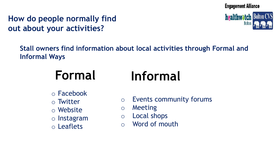#### **How do people normally find out about your activities?**



**Stall owners find information about local activities through Formal and Informal Ways**

# **Formal Informal**

- o Facebook
- o Twitter
- o Website
- o Instagram
- o Leaflets
- o Events community forums
- o Meeting
- o Local shops
- o Word of mouth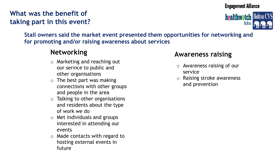#### **What was the benefit of taking part in this event?**





**Stall owners said the market event presented them opportunities for networking and for promoting and/or raising awareness about services** 

#### **Networking**

- o Marketing and reaching out our service to public and other organisations
- $\circ$  The best part was making connections with other groups and people in the area
- $\circ$  Talking to other organisations and residents about the type of work we do
- o Met individuals and groups interested in attending our events
- o Made contacts with regard to hosting external events in future

#### **Awareness raising**

- o Awareness raising of our service
- o Raising stroke awareness and prevention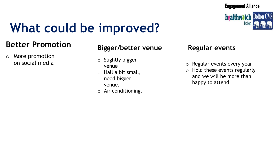

## **What could be improved?**

#### **Better Promotion**

o More promotion on social media

#### **Bigger/better venue**

- o Slightly bigger venue
- o Hall a bit small, need bigger venue.
- o Air conditioning.

#### **Regular events**

- o Regular events every year
- o Hold these events regularly and we will be more than happy to attend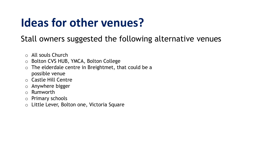## **Ideas for other venues?**

#### Stall owners suggested the following alternative venues

- o All souls Church
- o Bolton CVS HUB, YMCA, Bolton College
- o The elderdale centre in Breightmet, that could be a possible venue
- o Castle Hill Centre
- o Anywhere bigger
- o Rumworth
- o Primary schools
- o Little Lever, Bolton one, Victoria Square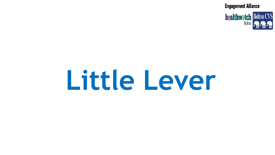

# **Little Lever**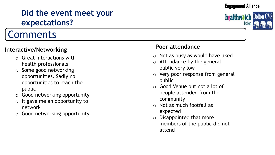### **Did the event meet your expectations?**

## Comments

#### **Interactive/Networking**

- o Great interactions with health professionals
- o Some good networking opportunities. Sadly no opportunities to reach the public
- o Good networking opportunity
- $\circ$  It gave me an opportunity to network
- o Good networking opportunity

#### **Poor attendance**

- o Not as busy as would have liked
- o Attendance by the general public very low
- o Very poor response from general public
- o Good Venue but not a lot of people attended from the community
- o Not as much footfall as expected
- o Disappointed that more members of the public did not attend



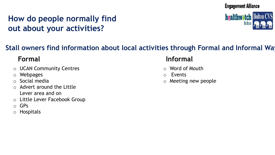### **How do people normally find out about your activities?**



#### **Stall owners find information about local activities through Formal and Informal Wa**

- o UCAN Community Centres
- o Webpages
- o Social media
- o Advert around the Little Lever area and on
- o Little Lever Facebook Group
- o GPs
- o Hospitals

#### **Formal Informal**

- o Word of Mouth
- o Events
- o Meeting new people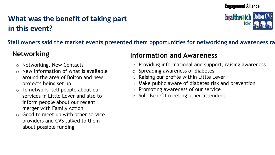#### **What was the benefit of taking part in this event?**



#### **Stall owners said the market events presented them opportunities for networking and awareness raising**

- o Networking, New Contacts
- New information of what is available around the area of Bolton and new projects being set up.
- $\circ$  To network, tell people about our services in Little Lever and also to inform people about our recent merger with Family Action
- $\circ$  Good to meet up with other service providers and CVS talked to them about possible funding

#### **Networking Information and Awareness**

- o Providing informational and support, raising awareness
- o Spreading awareness of diabetes
- o Raising our profile within Little Lever
- Make public aware of diabetes risk and prevention
- o Promoting awareness of our service
- o Sole Benefit meeting other attendees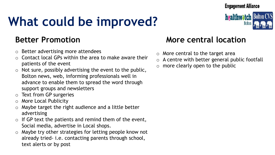## **What could be improved?**

- o Better advertising more attendees
- Contact local GPs within the area to make aware their patients of the event
- $\circ$  Not sure, possibly advertising the event to the public, Bolton news, web, informing professionals well in advance to enable them to spread the word through support groups and newsletters
- o Text from GP surgeries
- o More Local Publicity
- o Maybe target the right audience and a little better advertising
- $\circ$  If GP text the patients and remind them of the event, Social media, advertise in Local shops.
- o Maybe try other strategies for letting people know not already tried- i.e. contacting parents through school, text alerts or by post

#### **Better Promotion More central location**

- o More central to the target area
- $\circ$  A centre with better general public footfall
- $\circ$  more clearly open to the public

#### **Engagement Alliance**

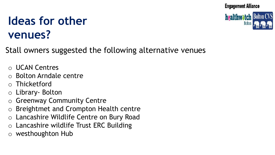**healthwatch Bolton CVS** 

## **Ideas for other venues?**

Stall owners suggested the following alternative venues

- o UCAN Centres
- o Bolton Arndale centre
- o Thicketford
- o Library- Bolton
- o Greenway Community Centre
- o Breightmet and Crompton Health centre
- o Lancashire Wildlife Centre on Bury Road
- o Lancashire wildlife Trust ERC Building
- o westhoughton Hub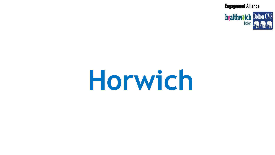

# **Horwich**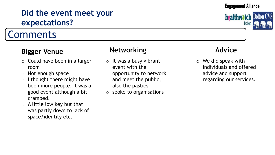### **Did the event meet your expectations?**

## Comments

#### **Bigger Venue**

- o Could have been in a larger room
- o Not enough space
- $\circ$  I thought there might have been more people. It was a good event although a bit cramped.
- $\circ$  A little low key but that was partly down to lack of space/identity etc.

#### **Networking**

- $\circ$  It was a busy vibrant event with the opportunity to network and meet the public, also the pasties
- o spoke to organisations

#### **Advice**

o We did speak with individuals and offered advice and support regarding our services.

**Engagement Alliance** 

**healthwatcl**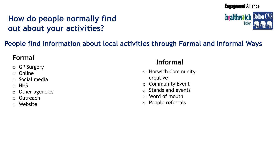### **How do people normally find out about your activities?**



#### **People find information about local activities through Formal and Informal Ways**

- o GP Surgery
- o Online
- o Social media
- o NHS
- $\circ$  Other agencies
- o Outreach
- o Website

## **Formal Informal**

- o Horwich Community creative
- o Community Event
- o Stands and events
- $\circ$  Word of mouth
- o People referrals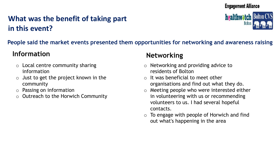### **What was the benefit of taking part in this event?**



#### **People said the market events presented them opportunities for networking and awareness raising**

#### **Information Networking**

- $\circ$  Local centre community sharing information
- o Just to get the project known in the community
- o Passing on information
- **Outreach to the Horwich Community**

- o Networking and providing advice to residents of Bolton
- $\circ$  It was beneficial to meet other organisations and find out what they do.
- o Meeting people who were interested either in volunteering with us or recommending volunteers to us. I had several hopeful contacts.
- $\circ$  To engage with people of Horwich and find out what's happening in the area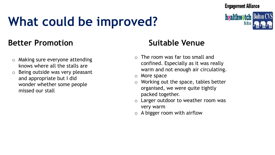## **What could be improved?**



#### **Better Promotion Suitable Venue**

- o Making sure everyone attending knows where all the stalls are
- o Being outside was very pleasant and appropriate but I did wonder whether some people missed our stall

- $\circ$  The room was far too small and confined. Especially as it was really warm and not enough air circulating.
- o More space
- o Working out the space, tables better organised, we were quite tightly packed together.
- o Larger outdoor to weather room was very warm
- $\circ$  A bigger room with airflow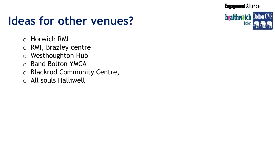## **Ideas for other venues?**

**healthwatch Bolton CVS Bolto** 

- o Horwich RMI
- o RMI, Brazley centre
- o Westhoughton Hub
- o Band Bolton YMCA
- o Blackrod Community Centre,
- o All souls Halliwell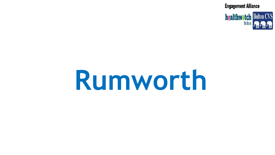

# **Rumworth**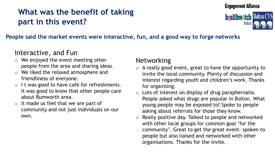### **What was the benefit of taking part in this event?**





#### **People said the market events were interactive, fun, and a good way to forge networks**

#### Interactive, and Fun

- o We enjoyed the event meeting other people from the area and sharing ideas.
- We liked the relaxed atmosphere and friendliness of everyone.
- $\circ$  I t was good to have café for refreshments. It was good to know that other people care about Rumworth area.
- o It made us feel that we are part of community and not just individuals on our own.

#### Networking

- $\circ$  A really good event, great to have the opportunity to invite the local community. Plenty of discussion and interest regarding youth and children's work. Thanks for organising.
- $\circ$  Lots of interest on display of drug paraphernalia. People asked what drugs are popular in Bolton. What young people may be exposed to? Spoke to people asking about referrals for those they know.
- o Really positive day. Talked to people and networked with other local groups for common goal 'for the community'. Great to get the great event- spoken to people but also liaised and networked with other organisations. Thanks for the invite.